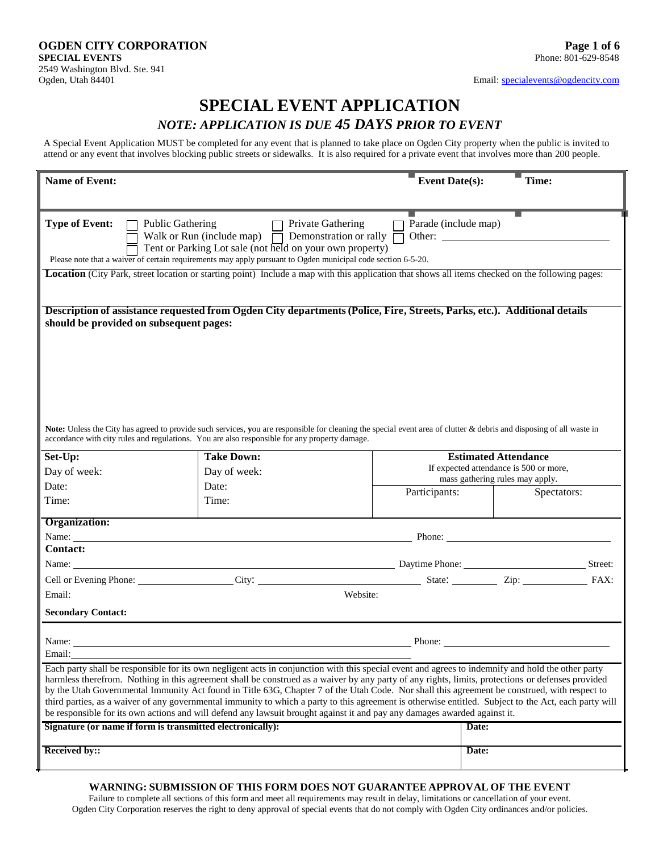# **SPECIAL EVENT APPLICATION**

# *NOTE: APPLICATION IS DUE 45 DAYS PRIOR TO EVENT*

A Special Event Application MUST be completed for any event that is planned to take place on Ogden City property when the public is invited to attend or any event that involves blocking public streets or sidewalks. It is also required for a private event that involves more than 200 people.

| <b>Name of Event:</b>                                      |                                                                                                                                                                                                                                                                                                                                                                                                                                                                                                                                                                                                                                                                                                                                               | <b>Event Date(s):</b>                                                     | Time:       |
|------------------------------------------------------------|-----------------------------------------------------------------------------------------------------------------------------------------------------------------------------------------------------------------------------------------------------------------------------------------------------------------------------------------------------------------------------------------------------------------------------------------------------------------------------------------------------------------------------------------------------------------------------------------------------------------------------------------------------------------------------------------------------------------------------------------------|---------------------------------------------------------------------------|-------------|
|                                                            |                                                                                                                                                                                                                                                                                                                                                                                                                                                                                                                                                                                                                                                                                                                                               |                                                                           |             |
| <b>Type of Event:</b><br><b>Public Gathering</b>           | Private Gathering<br>Walk or Run (include map) $\overline{\Box}$<br>Demonstration or rally<br>Tent or Parking Lot sale (not held on your own property)<br>Please note that a waiver of certain requirements may apply pursuant to Ogden municipal code section 6-5-20.                                                                                                                                                                                                                                                                                                                                                                                                                                                                        | Parade (include map)<br>Other:                                            |             |
|                                                            | Location (City Park, street location or starting point) Include a map with this application that shows all items checked on the following pages:                                                                                                                                                                                                                                                                                                                                                                                                                                                                                                                                                                                              |                                                                           |             |
| should be provided on subsequent pages:                    | Description of assistance requested from Ogden City departments (Police, Fire, Streets, Parks, etc.). Additional details                                                                                                                                                                                                                                                                                                                                                                                                                                                                                                                                                                                                                      |                                                                           |             |
|                                                            | Note: Unless the City has agreed to provide such services, you are responsible for cleaning the special event area of clutter & debris and disposing of all waste in<br>accordance with city rules and regulations. You are also responsible for any property damage.                                                                                                                                                                                                                                                                                                                                                                                                                                                                         |                                                                           |             |
| Set-Up:                                                    | <b>Take Down:</b>                                                                                                                                                                                                                                                                                                                                                                                                                                                                                                                                                                                                                                                                                                                             | <b>Estimated Attendance</b>                                               |             |
| Day of week:                                               | Day of week:                                                                                                                                                                                                                                                                                                                                                                                                                                                                                                                                                                                                                                                                                                                                  | If expected attendance is 500 or more,<br>mass gathering rules may apply. |             |
| Date:                                                      | Date:                                                                                                                                                                                                                                                                                                                                                                                                                                                                                                                                                                                                                                                                                                                                         | Participants:                                                             | Spectators: |
| Time:                                                      | Time:                                                                                                                                                                                                                                                                                                                                                                                                                                                                                                                                                                                                                                                                                                                                         |                                                                           |             |
| Organization:                                              |                                                                                                                                                                                                                                                                                                                                                                                                                                                                                                                                                                                                                                                                                                                                               |                                                                           |             |
|                                                            | Name: Name: Name: Name: Name: Name: Name: Name: Name: Name: Name: Name: Name: Name: Name: Name: Name: Name: Name: Name: Name: Name: Name: Name: Name: Name: Name: Name: Name: Name: Name: Name: Name: Name: Name: Name: Name:                                                                                                                                                                                                                                                                                                                                                                                                                                                                                                                 |                                                                           |             |
| <b>Contact:</b>                                            |                                                                                                                                                                                                                                                                                                                                                                                                                                                                                                                                                                                                                                                                                                                                               |                                                                           |             |
| Name:                                                      | Daytime Phone: Street:                                                                                                                                                                                                                                                                                                                                                                                                                                                                                                                                                                                                                                                                                                                        |                                                                           |             |
|                                                            | Cell or Evening Phone: City: City: City: State: City: State: Zip: Zip:                                                                                                                                                                                                                                                                                                                                                                                                                                                                                                                                                                                                                                                                        |                                                                           | FAX:        |
| Email:                                                     | Website:                                                                                                                                                                                                                                                                                                                                                                                                                                                                                                                                                                                                                                                                                                                                      |                                                                           |             |
| <b>Secondary Contact:</b>                                  |                                                                                                                                                                                                                                                                                                                                                                                                                                                                                                                                                                                                                                                                                                                                               |                                                                           |             |
| Name:                                                      |                                                                                                                                                                                                                                                                                                                                                                                                                                                                                                                                                                                                                                                                                                                                               | Phone:                                                                    |             |
| Email:                                                     |                                                                                                                                                                                                                                                                                                                                                                                                                                                                                                                                                                                                                                                                                                                                               |                                                                           |             |
|                                                            | Each party shall be responsible for its own negligent acts in conjunction with this special event and agrees to indemnify and hold the other party<br>harmless therefrom. Nothing in this agreement shall be construed as a waiver by any party of any rights, limits, protections or defenses provided<br>by the Utah Governmental Immunity Act found in Title 63G, Chapter 7 of the Utah Code. Nor shall this agreement be construed, with respect to<br>third parties, as a waiver of any governmental immunity to which a party to this agreement is otherwise entitled. Subject to the Act, each party will<br>be responsible for its own actions and will defend any lawsuit brought against it and pay any damages awarded against it. |                                                                           |             |
| Signature (or name if form is transmitted electronically): |                                                                                                                                                                                                                                                                                                                                                                                                                                                                                                                                                                                                                                                                                                                                               | Date:                                                                     |             |
|                                                            |                                                                                                                                                                                                                                                                                                                                                                                                                                                                                                                                                                                                                                                                                                                                               | Date:                                                                     |             |
| <b>Received by::</b>                                       |                                                                                                                                                                                                                                                                                                                                                                                                                                                                                                                                                                                                                                                                                                                                               |                                                                           |             |

#### **WARNING: SUBMISSION OF THIS FORM DOES NOT GUARANTEE APPROVAL OF THE EVENT**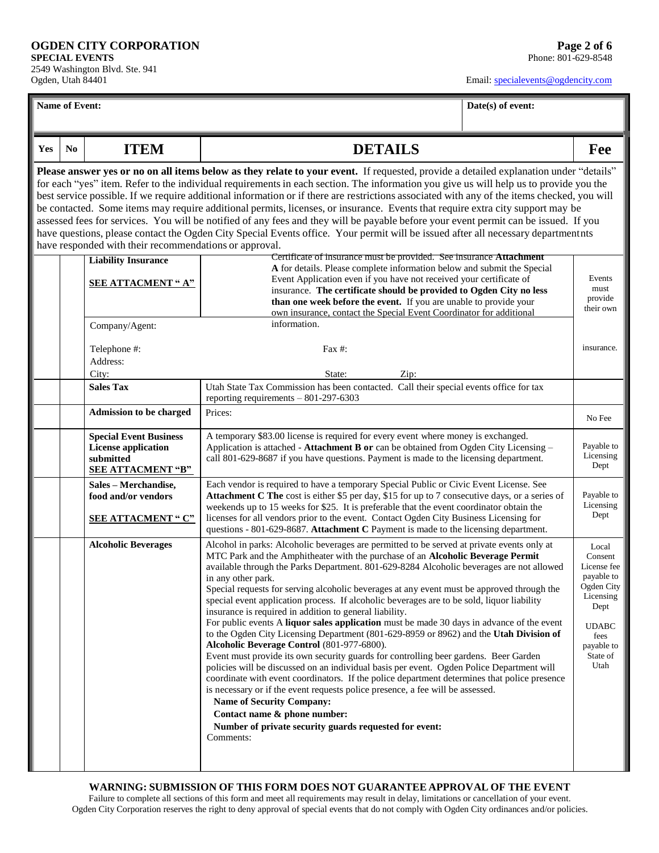2549 Washington Blvd. Ste. 941 Ogden, Utah 84401

Email[: specialevents@ogdencity.com](mailto:specialevents@ogdencity.com)

| Oguell, Utali 04401 |                |                                                                                                      |                                                                                                                                                                                                                                                                                                                                                                                                                                                                                                                                                                                                                                                                                                                                                                                                                                                                                                                                                                                                                                                                                                                                                                                                                                                                                                               | Eman. Speciale vents @ ogdencity.com |                                                                                                                                            |
|---------------------|----------------|------------------------------------------------------------------------------------------------------|---------------------------------------------------------------------------------------------------------------------------------------------------------------------------------------------------------------------------------------------------------------------------------------------------------------------------------------------------------------------------------------------------------------------------------------------------------------------------------------------------------------------------------------------------------------------------------------------------------------------------------------------------------------------------------------------------------------------------------------------------------------------------------------------------------------------------------------------------------------------------------------------------------------------------------------------------------------------------------------------------------------------------------------------------------------------------------------------------------------------------------------------------------------------------------------------------------------------------------------------------------------------------------------------------------------|--------------------------------------|--------------------------------------------------------------------------------------------------------------------------------------------|
|                     | Name of Event: |                                                                                                      |                                                                                                                                                                                                                                                                                                                                                                                                                                                                                                                                                                                                                                                                                                                                                                                                                                                                                                                                                                                                                                                                                                                                                                                                                                                                                                               | Date(s) of event:                    |                                                                                                                                            |
|                     |                |                                                                                                      |                                                                                                                                                                                                                                                                                                                                                                                                                                                                                                                                                                                                                                                                                                                                                                                                                                                                                                                                                                                                                                                                                                                                                                                                                                                                                                               |                                      |                                                                                                                                            |
| Yes                 | No             | <b>ITEM</b>                                                                                          | <b>DETAILS</b>                                                                                                                                                                                                                                                                                                                                                                                                                                                                                                                                                                                                                                                                                                                                                                                                                                                                                                                                                                                                                                                                                                                                                                                                                                                                                                |                                      | Fee                                                                                                                                        |
|                     |                |                                                                                                      | Please answer yes or no on all items below as they relate to your event. If requested, provide a detailed explanation under "details"<br>for each "yes" item. Refer to the individual requirements in each section. The information you give us will help us to provide you the<br>best service possible. If we require additional information or if there are restrictions associated with any of the items checked, you will<br>be contacted. Some items may require additional permits, licenses, or insurance. Events that require extra city support may be<br>assessed fees for services. You will be notified of any fees and they will be payable before your event permit can be issued. If you<br>have questions, please contact the Ogden City Special Events office. Your permit will be issued after all necessary departmentnts                                                                                                                                                                                                                                                                                                                                                                                                                                                                 |                                      |                                                                                                                                            |
|                     |                | have responded with their recommendations or approval.                                               |                                                                                                                                                                                                                                                                                                                                                                                                                                                                                                                                                                                                                                                                                                                                                                                                                                                                                                                                                                                                                                                                                                                                                                                                                                                                                                               |                                      |                                                                                                                                            |
|                     |                | <b>Liability Insurance</b><br><b>SEE ATTACMENT "A"</b>                                               | Certificate of insurance must be provided. See insurance Attachment<br>A for details. Please complete information below and submit the Special<br>Event Application even if you have not received your certificate of<br>insurance. The certificate should be provided to Ogden City no less<br>than one week before the event. If you are unable to provide your<br>own insurance, contact the Special Event Coordinator for additional                                                                                                                                                                                                                                                                                                                                                                                                                                                                                                                                                                                                                                                                                                                                                                                                                                                                      |                                      | Events<br>must<br>provide<br>their own                                                                                                     |
|                     |                | Company/Agent:<br>Telephone #:<br>Address:                                                           | information.<br>Fax $#$ :                                                                                                                                                                                                                                                                                                                                                                                                                                                                                                                                                                                                                                                                                                                                                                                                                                                                                                                                                                                                                                                                                                                                                                                                                                                                                     |                                      | insurance.                                                                                                                                 |
|                     |                | City:                                                                                                | State:<br>Zip:                                                                                                                                                                                                                                                                                                                                                                                                                                                                                                                                                                                                                                                                                                                                                                                                                                                                                                                                                                                                                                                                                                                                                                                                                                                                                                |                                      |                                                                                                                                            |
|                     |                | <b>Sales Tax</b>                                                                                     | Utah State Tax Commission has been contacted. Call their special events office for tax<br>reporting requirements $-801-297-6303$                                                                                                                                                                                                                                                                                                                                                                                                                                                                                                                                                                                                                                                                                                                                                                                                                                                                                                                                                                                                                                                                                                                                                                              |                                      |                                                                                                                                            |
|                     |                | <b>Admission to be charged</b>                                                                       | Prices:                                                                                                                                                                                                                                                                                                                                                                                                                                                                                                                                                                                                                                                                                                                                                                                                                                                                                                                                                                                                                                                                                                                                                                                                                                                                                                       |                                      | No Fee                                                                                                                                     |
|                     |                | <b>Special Event Business</b><br><b>License application</b><br>submitted<br><b>SEE ATTACMENT "B"</b> | A temporary \$83.00 license is required for every event where money is exchanged.<br>Application is attached - Attachment B or can be obtained from Ogden City Licensing -<br>call 801-629-8687 if you have questions. Payment is made to the licensing department.                                                                                                                                                                                                                                                                                                                                                                                                                                                                                                                                                                                                                                                                                                                                                                                                                                                                                                                                                                                                                                           |                                      | Payable to<br>Licensing<br>Dept                                                                                                            |
|                     |                | Sales - Merchandise,<br>food and/or vendors<br><b>SEE ATTACMENT "C"</b>                              | Each vendor is required to have a temporary Special Public or Civic Event License. See<br>Attachment C The cost is either \$5 per day, \$15 for up to 7 consecutive days, or a series of<br>weekends up to 15 weeks for \$25. It is preferable that the event coordinator obtain the<br>licenses for all vendors prior to the event. Contact Ogden City Business Licensing for<br>questions - 801-629-8687. Attachment C Payment is made to the licensing department.                                                                                                                                                                                                                                                                                                                                                                                                                                                                                                                                                                                                                                                                                                                                                                                                                                         |                                      | Payable to<br>Licensing<br>Dept                                                                                                            |
|                     |                | <b>Alcoholic Beverages</b>                                                                           | Alcohol in parks: Alcoholic beverages are permitted to be served at private events only at<br>MTC Park and the Amphitheater with the purchase of an Alcoholic Beverage Permit<br>available through the Parks Department. 801-629-8284 Alcoholic beverages are not allowed<br>in any other park.<br>Special requests for serving alcoholic beverages at any event must be approved through the<br>special event application process. If alcoholic beverages are to be sold, liquor liability<br>insurance is required in addition to general liability.<br>For public events A liquor sales application must be made 30 days in advance of the event<br>to the Ogden City Licensing Department (801-629-8959 or 8962) and the Utah Division of<br>Alcoholic Beverage Control (801-977-6800).<br>Event must provide its own security guards for controlling beer gardens. Beer Garden<br>policies will be discussed on an individual basis per event. Ogden Police Department will<br>coordinate with event coordinators. If the police department determines that police presence<br>is necessary or if the event requests police presence, a fee will be assessed.<br><b>Name of Security Company:</b><br>Contact name & phone number:<br>Number of private security guards requested for event:<br>Comments: |                                      | Local<br>Consent<br>License fee<br>payable to<br>Ogden City<br>Licensing<br>Dept<br><b>UDABC</b><br>fees<br>payable to<br>State of<br>Utah |

**WARNING: SUBMISSION OF THIS FORM DOES NOT GUARANTEE APPROVAL OF THE EVENT** Failure to complete all sections of this form and meet all requirements may result in delay, limitations or cancellation of your event. Ogden City Corporation reserves the right to deny approval of special events that do not comply with Ogden City ordinances and/or policies.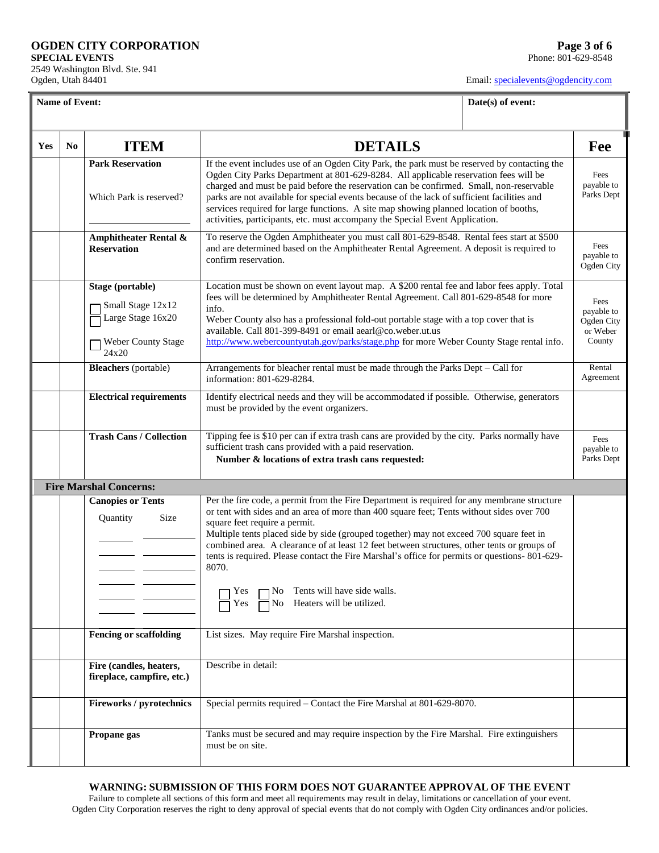2549 Washington Blvd. Ste. 941 Ogden, Utah 84401

Email[: specialevents@ogdencity.com](mailto:specialevents@ogdencity.com)

**Name of Event: Date(s) of event: Date(s)** of **event:** 

| Yes | No | <b>DETAILS</b><br><b>ITEM</b>                                                             |                                                                                                                                                                                                                                                                                                                                                                                                                                                                                                                                                                                                                        | Fee                                                    |
|-----|----|-------------------------------------------------------------------------------------------|------------------------------------------------------------------------------------------------------------------------------------------------------------------------------------------------------------------------------------------------------------------------------------------------------------------------------------------------------------------------------------------------------------------------------------------------------------------------------------------------------------------------------------------------------------------------------------------------------------------------|--------------------------------------------------------|
|     |    | <b>Park Reservation</b><br>Which Park is reserved?                                        | If the event includes use of an Ogden City Park, the park must be reserved by contacting the<br>Ogden City Parks Department at 801-629-8284. All applicable reservation fees will be<br>charged and must be paid before the reservation can be confirmed. Small, non-reservable<br>parks are not available for special events because of the lack of sufficient facilities and<br>services required for large functions. A site map showing planned location of booths,<br>activities, participants, etc. must accompany the Special Event Application.                                                                |                                                        |
|     |    | <b>Amphitheater Rental &amp;</b><br><b>Reservation</b>                                    | To reserve the Ogden Amphitheater you must call 801-629-8548. Rental fees start at \$500<br>and are determined based on the Amphitheater Rental Agreement. A deposit is required to<br>confirm reservation.                                                                                                                                                                                                                                                                                                                                                                                                            |                                                        |
|     |    | Stage (portable)<br>Small Stage 12x12<br>Large Stage 16x20<br>Weber County Stage<br>24x20 | Location must be shown on event layout map. A \$200 rental fee and labor fees apply. Total<br>fees will be determined by Amphitheater Rental Agreement. Call 801-629-8548 for more<br>info.<br>Weber County also has a professional fold-out portable stage with a top cover that is<br>available. Call 801-399-8491 or email aearl@co.weber.ut.us<br>http://www.webercountyutah.gov/parks/stage.php for more Weber County Stage rental info.                                                                                                                                                                          | Fees<br>payable to<br>Ogden City<br>or Weber<br>County |
|     |    | <b>Bleachers</b> (portable)                                                               | Arrangements for bleacher rental must be made through the Parks Dept - Call for<br>information: 801-629-8284.                                                                                                                                                                                                                                                                                                                                                                                                                                                                                                          | Rental<br>Agreement                                    |
|     |    | <b>Electrical requirements</b>                                                            | Identify electrical needs and they will be accommodated if possible. Otherwise, generators<br>must be provided by the event organizers.                                                                                                                                                                                                                                                                                                                                                                                                                                                                                |                                                        |
|     |    | <b>Trash Cans / Collection</b>                                                            | Tipping fee is \$10 per can if extra trash cans are provided by the city. Parks normally have<br>sufficient trash cans provided with a paid reservation.<br>Number & locations of extra trash cans requested:                                                                                                                                                                                                                                                                                                                                                                                                          | Fees<br>payable to<br>Parks Dept                       |
|     |    | <b>Fire Marshal Concerns:</b>                                                             |                                                                                                                                                                                                                                                                                                                                                                                                                                                                                                                                                                                                                        |                                                        |
|     |    | <b>Canopies or Tents</b><br>Quantity<br>Size                                              | Per the fire code, a permit from the Fire Department is required for any membrane structure<br>or tent with sides and an area of more than 400 square feet; Tents without sides over 700<br>square feet require a permit.<br>Multiple tents placed side by side (grouped together) may not exceed 700 square feet in<br>combined area. A clearance of at least 12 feet between structures, other tents or groups of<br>tents is required. Please contact the Fire Marshal's office for permits or questions-801-629-<br>8070.<br>$\neg$ No Tents will have side walls.<br>Yes<br>No Heaters will be utilized.<br>⊺ Yes |                                                        |
|     |    | <b>Fencing or scaffolding</b>                                                             | List sizes. May require Fire Marshal inspection.                                                                                                                                                                                                                                                                                                                                                                                                                                                                                                                                                                       |                                                        |
|     |    | Fire (candles, heaters,<br>fireplace, campfire, etc.)                                     | Describe in detail:                                                                                                                                                                                                                                                                                                                                                                                                                                                                                                                                                                                                    |                                                        |
|     |    | <b>Fireworks / pyrotechnics</b>                                                           | Special permits required - Contact the Fire Marshal at 801-629-8070.                                                                                                                                                                                                                                                                                                                                                                                                                                                                                                                                                   |                                                        |
|     |    | Propane gas                                                                               | Tanks must be secured and may require inspection by the Fire Marshal. Fire extinguishers<br>must be on site.                                                                                                                                                                                                                                                                                                                                                                                                                                                                                                           |                                                        |

#### **WARNING: SUBMISSION OF THIS FORM DOES NOT GUARANTEE APPROVAL OF THE EVENT**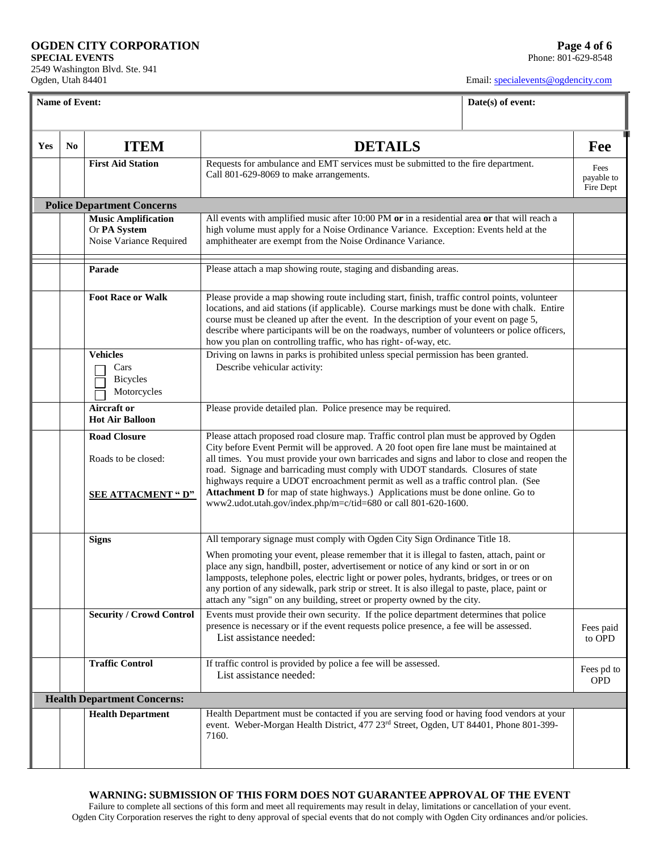2549 Washington Blvd. Ste. 941 Ogden, Utah 84401

Email[: specialevents@ogdencity.com](mailto:specialevents@ogdencity.com)

|     | Name of Event:<br>Date(s) of event: |                                                                       |                                                                                                                                                                                                                                                                                                                                                                                                                                                                                                                                                    |  |                                 |
|-----|-------------------------------------|-----------------------------------------------------------------------|----------------------------------------------------------------------------------------------------------------------------------------------------------------------------------------------------------------------------------------------------------------------------------------------------------------------------------------------------------------------------------------------------------------------------------------------------------------------------------------------------------------------------------------------------|--|---------------------------------|
| Yes | N <sub>0</sub>                      | <b>ITEM</b>                                                           | <b>DETAILS</b>                                                                                                                                                                                                                                                                                                                                                                                                                                                                                                                                     |  | Fee                             |
|     |                                     | <b>First Aid Station</b>                                              | Requests for ambulance and EMT services must be submitted to the fire department.<br>Call 801-629-8069 to make arrangements.                                                                                                                                                                                                                                                                                                                                                                                                                       |  | Fees<br>payable to<br>Fire Dept |
|     |                                     | <b>Police Department Concerns</b>                                     |                                                                                                                                                                                                                                                                                                                                                                                                                                                                                                                                                    |  |                                 |
|     |                                     | <b>Music Amplification</b><br>Or PA System<br>Noise Variance Required | All events with amplified music after 10:00 PM or in a residential area or that will reach a<br>high volume must apply for a Noise Ordinance Variance. Exception: Events held at the<br>amphitheater are exempt from the Noise Ordinance Variance.                                                                                                                                                                                                                                                                                                 |  |                                 |
|     |                                     | Parade                                                                | Please attach a map showing route, staging and disbanding areas.                                                                                                                                                                                                                                                                                                                                                                                                                                                                                   |  |                                 |
|     |                                     | <b>Foot Race or Walk</b>                                              | Please provide a map showing route including start, finish, traffic control points, volunteer<br>locations, and aid stations (if applicable). Course markings must be done with chalk. Entire<br>course must be cleaned up after the event. In the description of your event on page 5,<br>describe where participants will be on the roadways, number of volunteers or police officers,<br>how you plan on controlling traffic, who has right- of-way, etc.                                                                                       |  |                                 |
|     |                                     | <b>Vehicles</b><br>Cars<br><b>Bicycles</b><br>Motorcycles             | Driving on lawns in parks is prohibited unless special permission has been granted.<br>Describe vehicular activity:                                                                                                                                                                                                                                                                                                                                                                                                                                |  |                                 |
|     |                                     | Aircraft or<br><b>Hot Air Balloon</b>                                 | Please provide detailed plan. Police presence may be required.                                                                                                                                                                                                                                                                                                                                                                                                                                                                                     |  |                                 |
|     |                                     | <b>Road Closure</b><br>Roads to be closed:                            | Please attach proposed road closure map. Traffic control plan must be approved by Ogden<br>City before Event Permit will be approved. A 20 foot open fire lane must be maintained at<br>all times. You must provide your own barricades and signs and labor to close and reopen the<br>road. Signage and barricading must comply with UDOT standards. Closures of state<br>highways require a UDOT encroachment permit as well as a traffic control plan. (See<br>Attachment D for map of state highways.) Applications must be done online. Go to |  |                                 |
|     |                                     | <b>SEE ATTACMENT "D"</b>                                              | www2.udot.utah.gov/index.php/m=c/tid=680 or call 801-620-1600.                                                                                                                                                                                                                                                                                                                                                                                                                                                                                     |  |                                 |
|     |                                     | <b>Signs</b>                                                          | All temporary signage must comply with Ogden City Sign Ordinance Title 18.                                                                                                                                                                                                                                                                                                                                                                                                                                                                         |  |                                 |
|     |                                     |                                                                       | When promoting your event, please remember that it is illegal to fasten, attach, paint or<br>place any sign, handbill, poster, advertisement or notice of any kind or sort in or on<br>lampposts, telephone poles, electric light or power poles, hydrants, bridges, or trees or on<br>any portion of any sidewalk, park strip or street. It is also illegal to paste, place, paint or<br>attach any "sign" on any building, street or property owned by the city.                                                                                 |  |                                 |
|     |                                     | <b>Security / Crowd Control</b>                                       | Events must provide their own security. If the police department determines that police<br>presence is necessary or if the event requests police presence, a fee will be assessed.<br>List assistance needed:                                                                                                                                                                                                                                                                                                                                      |  | Fees paid<br>to OPD             |
|     |                                     | <b>Traffic Control</b>                                                | If traffic control is provided by police a fee will be assessed.<br>List assistance needed:                                                                                                                                                                                                                                                                                                                                                                                                                                                        |  | Fees pd to<br><b>OPD</b>        |
|     |                                     | <b>Health Department Concerns:</b>                                    |                                                                                                                                                                                                                                                                                                                                                                                                                                                                                                                                                    |  |                                 |
|     |                                     | <b>Health Department</b>                                              | Health Department must be contacted if you are serving food or having food vendors at your<br>event. Weber-Morgan Health District, 477 23rd Street, Ogden, UT 84401, Phone 801-399-<br>7160.                                                                                                                                                                                                                                                                                                                                                       |  |                                 |

#### **WARNING: SUBMISSION OF THIS FORM DOES NOT GUARANTEE APPROVAL OF THE EVENT**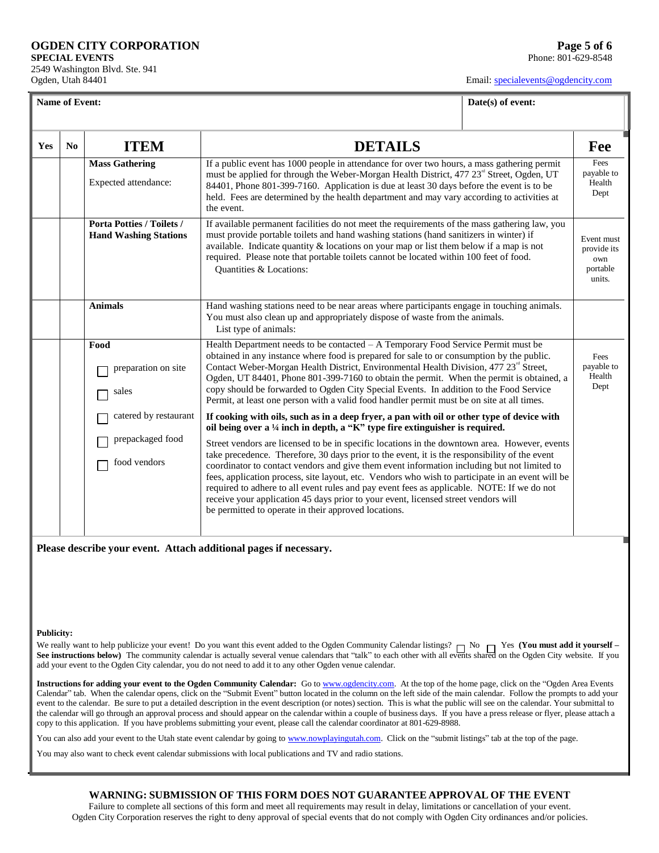2549 Washington Blvd. Ste. 941 Ogden, Utah 84401

Email[: specialevents@ogdencity.com](mailto:specialevents@ogdencity.com)

**Date(s) of event: Date(s) of event:** 

| Yes | No | <b>ITEM</b>                                                      | <b>DETAILS</b>                                                                                                                                                                                                                                                                                                                                                                                                                                                                                                                                                                                                                                                                                                                                                                                                               | Fee                                  |
|-----|----|------------------------------------------------------------------|------------------------------------------------------------------------------------------------------------------------------------------------------------------------------------------------------------------------------------------------------------------------------------------------------------------------------------------------------------------------------------------------------------------------------------------------------------------------------------------------------------------------------------------------------------------------------------------------------------------------------------------------------------------------------------------------------------------------------------------------------------------------------------------------------------------------------|--------------------------------------|
|     |    | <b>Mass Gathering</b><br>Expected attendance:                    | If a public event has 1000 people in attendance for over two hours, a mass gathering permit<br>must be applied for through the Weber-Morgan Health District, 477 23 <sup>rd</sup> Street, Ogden, UT<br>84401, Phone 801-399-7160. Application is due at least 30 days before the event is to be<br>held. Fees are determined by the health department and may vary according to activities at<br>the event.                                                                                                                                                                                                                                                                                                                                                                                                                  |                                      |
|     |    | <b>Porta Potties / Toilets /</b><br><b>Hand Washing Stations</b> | If available permanent facilities do not meet the requirements of the mass gathering law, you<br>must provide portable toilets and hand washing stations (hand sanitizers in winter) if<br>available. Indicate quantity $\&$ locations on your map or list them below if a map is not<br>required. Please note that portable toilets cannot be located within 100 feet of food.<br>Quantities & Locations:                                                                                                                                                                                                                                                                                                                                                                                                                   |                                      |
|     |    | <b>Animals</b>                                                   | Hand washing stations need to be near areas where participants engage in touching animals.<br>You must also clean up and appropriately dispose of waste from the animals.<br>List type of animals:                                                                                                                                                                                                                                                                                                                                                                                                                                                                                                                                                                                                                           |                                      |
|     |    | Food<br>preparation on site<br>sales                             | Health Department needs to be contacted - A Temporary Food Service Permit must be<br>obtained in any instance where food is prepared for sale to or consumption by the public.<br>Contact Weber-Morgan Health District, Environmental Health Division, 477 23 <sup>rd</sup> Street,<br>Ogden, UT 84401, Phone 801-399-7160 to obtain the permit. When the permit is obtained, a<br>copy should be forwarded to Ogden City Special Events. In addition to the Food Service<br>Permit, at least one person with a valid food handler permit must be on site at all times.                                                                                                                                                                                                                                                      | Fees<br>payable to<br>Health<br>Dept |
|     |    | catered by restaurant<br>prepackaged food<br>food vendors        | If cooking with oils, such as in a deep fryer, a pan with oil or other type of device with<br>oil being over a 1/4 inch in depth, a "K" type fire extinguisher is required.<br>Street vendors are licensed to be in specific locations in the downtown area. However, events<br>take precedence. Therefore, 30 days prior to the event, it is the responsibility of the event<br>coordinator to contact vendors and give them event information including but not limited to<br>fees, application process, site layout, etc. Vendors who wish to participate in an event will be<br>required to adhere to all event rules and pay event fees as applicable. NOTE: If we do not<br>receive your application 45 days prior to your event, licensed street vendors will<br>be permitted to operate in their approved locations. |                                      |

**Please describe your event. Attach additional pages if necessary.**

#### **Publicity:**

We really want to help publicize your event! Do you want this event added to the Ogden Community Calendar listings?  $\neg$  No  $\neg$  Yes **(You must add it yourself** – **See instructions below)** The community calendar is actually several venue calendars that "talk" to each other with all events shared on the Ogden City website. If you add your event to the Ogden City calendar, you do not need to add it to any other Ogden venue calendar.

**Instructions for adding your event to the Ogden Community Calendar:** Go to [www.ogdencity.com.](http://www.ogdencity.com/) At the top of the home page, click on the "Ogden Area Events Calendar" tab. When the calendar opens, click on the "Submit Event" button located in the column on the left side of the main calendar. Follow the prompts to add your event to the calendar. Be sure to put a detailed description in the event description (or notes) section. This is what the public will see on the calendar. Your submittal to the calendar will go through an approval process and should appear on the calendar within a couple of business days. If you have a press release or flyer, please attach a copy to this application. If you have problems submitting your event, please call the calendar coordinator at 801-629-8988.

You can also add your event to the Utah state event calendar by going t[o www.nowplayingutah.com.](http://www.nowplayingutah.com/) Click on the "submit listings" tab at the top of the page.

You may also want to check event calendar submissions with local publications and TV and radio stations.

#### **WARNING: SUBMISSION OF THIS FORM DOES NOT GUARANTEE APPROVAL OF THE EVENT**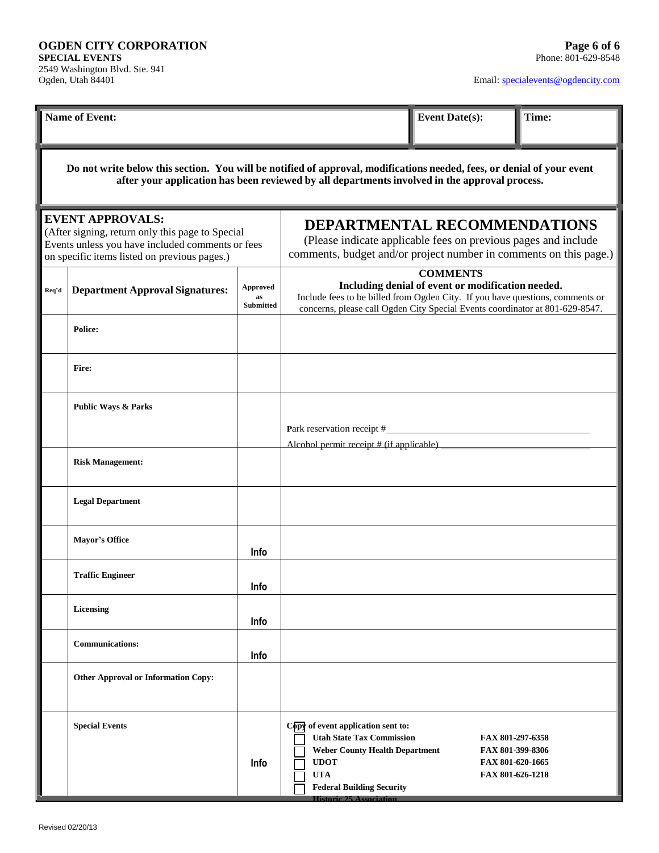| <b>Name of Event:</b>                                                                                                                                                           |                                                                                                                                                                                                                         |                             |                                                                                                                                                                                                             | <b>Event Date(s):</b>                                                                                                                                               | Time: |  |
|---------------------------------------------------------------------------------------------------------------------------------------------------------------------------------|-------------------------------------------------------------------------------------------------------------------------------------------------------------------------------------------------------------------------|-----------------------------|-------------------------------------------------------------------------------------------------------------------------------------------------------------------------------------------------------------|---------------------------------------------------------------------------------------------------------------------------------------------------------------------|-------|--|
|                                                                                                                                                                                 | Do not write below this section. You will be notified of approval, modifications needed, fees, or denial of your event<br>after your application has been reviewed by all departments involved in the approval process. |                             |                                                                                                                                                                                                             |                                                                                                                                                                     |       |  |
| <b>EVENT APPROVALS:</b><br>(After signing, return only this page to Special<br>Events unless you have included comments or fees<br>on specific items listed on previous pages.) |                                                                                                                                                                                                                         |                             |                                                                                                                                                                                                             | DEPARTMENTAL RECOMMENDATIONS<br>(Please indicate applicable fees on previous pages and include<br>comments, budget and/or project number in comments on this page.) |       |  |
| Req'd                                                                                                                                                                           | <b>Department Approval Signatures:</b>                                                                                                                                                                                  | Approved<br>as<br>Submitted | Include fees to be billed from Ogden City. If you have questions, comments or<br>concerns, please call Ogden City Special Events coordinator at 801-629-8547.                                               | <b>COMMENTS</b><br>Including denial of event or modification needed.                                                                                                |       |  |
|                                                                                                                                                                                 | <b>Police:</b>                                                                                                                                                                                                          |                             |                                                                                                                                                                                                             |                                                                                                                                                                     |       |  |
|                                                                                                                                                                                 | Fire:                                                                                                                                                                                                                   |                             |                                                                                                                                                                                                             |                                                                                                                                                                     |       |  |
|                                                                                                                                                                                 | <b>Public Ways &amp; Parks</b>                                                                                                                                                                                          |                             | Alcohol permit receipt # (if applicable) ________                                                                                                                                                           |                                                                                                                                                                     |       |  |
|                                                                                                                                                                                 | <b>Risk Management:</b>                                                                                                                                                                                                 |                             |                                                                                                                                                                                                             |                                                                                                                                                                     |       |  |
|                                                                                                                                                                                 | <b>Legal Department</b>                                                                                                                                                                                                 |                             |                                                                                                                                                                                                             |                                                                                                                                                                     |       |  |
|                                                                                                                                                                                 | <b>Mayor's Office</b>                                                                                                                                                                                                   | Info                        |                                                                                                                                                                                                             |                                                                                                                                                                     |       |  |
|                                                                                                                                                                                 | <b>Traffic Engineer</b>                                                                                                                                                                                                 | Info                        |                                                                                                                                                                                                             |                                                                                                                                                                     |       |  |
|                                                                                                                                                                                 | <b>Licensing</b>                                                                                                                                                                                                        | Info                        |                                                                                                                                                                                                             |                                                                                                                                                                     |       |  |
|                                                                                                                                                                                 | <b>Communications:</b>                                                                                                                                                                                                  | Info                        |                                                                                                                                                                                                             |                                                                                                                                                                     |       |  |
|                                                                                                                                                                                 | <b>Other Approval or Information Copy:</b>                                                                                                                                                                              |                             |                                                                                                                                                                                                             |                                                                                                                                                                     |       |  |
|                                                                                                                                                                                 | <b>Special Events</b>                                                                                                                                                                                                   | Info                        | Copy of event application sent to:<br><b>Utah State Tax Commission</b><br><b>Weber County Health Department</b><br><b>UDOT</b><br><b>UTA</b><br><b>Federal Building Security</b><br>Historic 25 Association | FAX 801-297-6358<br>FAX 801-399-8306<br>FAX 801-620-1665<br>FAX 801-626-1218                                                                                        |       |  |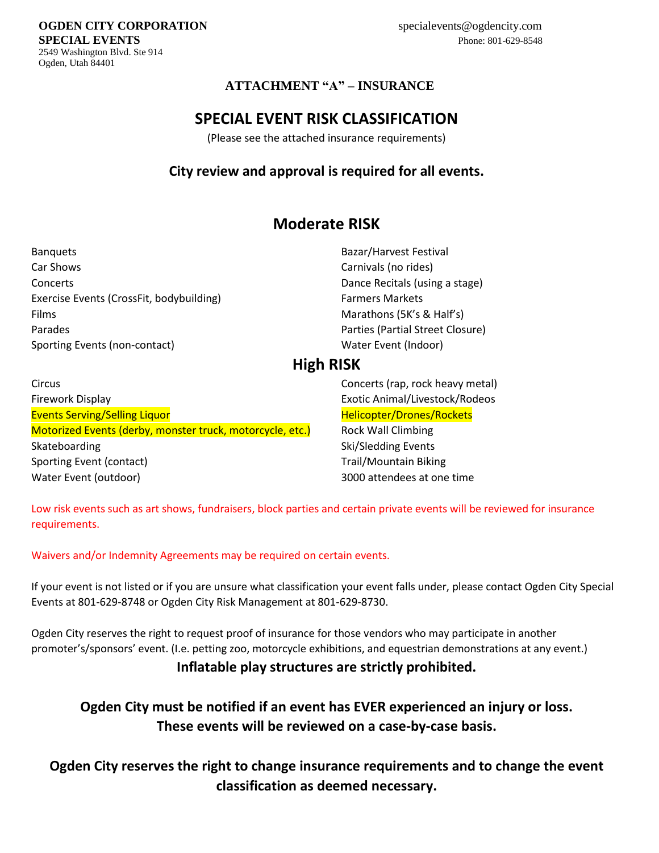**SPECIAL EVENTS** 2549 Washington Blvd. Ste 914 Ogden, Utah 84401

**OGDEN CITY CORPORATION**

### **ATTACHMENT "A" – INSURANCE**

# **SPECIAL EVENT RISK CLASSIFICATION**

(Please see the attached insurance requirements)

# **City review and approval is required for all events.**

# **Moderate RISK**

Banquets Bazar/Harvest Festival Car Shows Carnivals (no rides) Concerts Dance Recitals (using a stage) Exercise Events (CrossFit, bodybuilding) Farmers Markets Films **Marathons (5K's & Half's) Marathons (5K's & Half's)** Parades Parties (Partial Street Closure) Sporting Events (non-contact) and Monte Content (Indoor) Water Event (Indoor)

# **High RISK**

Circus Concerts (rap, rock heavy metal) Firework Display Exotic Animal/Livestock/Rodeos Events Serving/Selling Liquor **Mateurs 2006** Helicopter/Drones/Rockets Motorized Events (derby, monster truck, motorcycle, etc.) Rock Wall Climbing Skateboarding Skateboarding Ski/Sledding Events Sporting Event (contact) The Contact of Contact Sporting Event (contact) Trail/Mountain Biking Water Event (outdoor) 3000 attendees at one time

Low risk events such as art shows, fundraisers, block parties and certain private events will be reviewed for insurance requirements.

Waivers and/or Indemnity Agreements may be required on certain events.

If your event is not listed or if you are unsure what classification your event falls under, please contact Ogden City Special Events at 801-629-8748 or Ogden City Risk Management at 801-629-8730.

Ogden City reserves the right to request proof of insurance for those vendors who may participate in another promoter's/sponsors' event. (I.e. petting zoo, motorcycle exhibitions, and equestrian demonstrations at any event.)

# **Inflatable play structures are strictly prohibited.**

# **Ogden City must be notified if an event has EVER experienced an injury or loss. These events will be reviewed on a case-by-case basis.**

**Ogden City reserves the right to change insurance requirements and to change the event classification as deemed necessary.**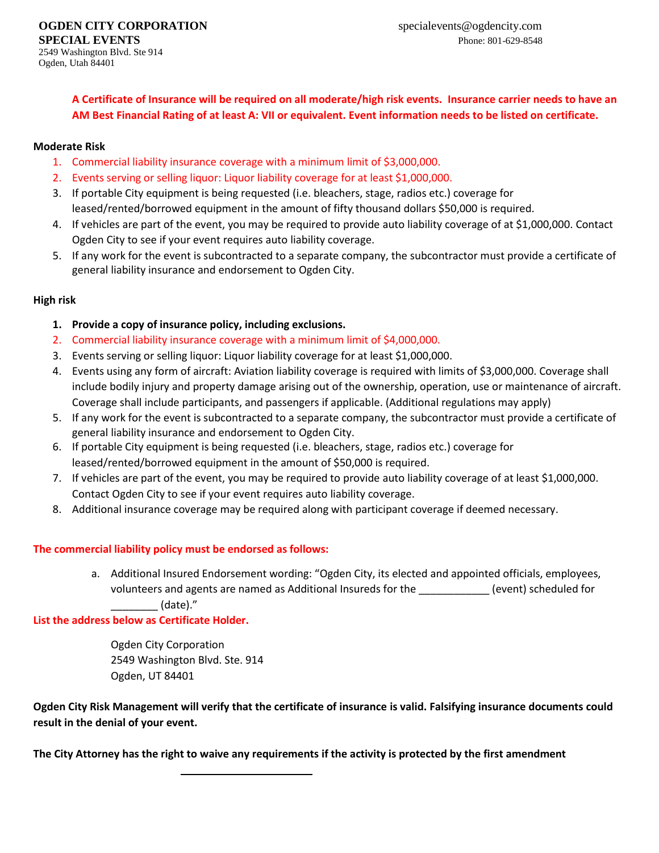**A Certificate of Insurance will be required on all moderate/high risk events. Insurance carrier needs to have an AM Best Financial Rating of at least A: VII or equivalent. Event information needs to be listed on certificate.** 

#### **Moderate Risk**

- 1. Commercial liability insurance coverage with a minimum limit of \$3,000,000.
- 2. Events serving or selling liquor: Liquor liability coverage for at least \$1,000,000.
- 3. If portable City equipment is being requested (i.e. bleachers, stage, radios etc.) coverage for leased/rented/borrowed equipment in the amount of fifty thousand dollars \$50,000 is required.
- 4. If vehicles are part of the event, you may be required to provide auto liability coverage of at \$1,000,000. Contact Ogden City to see if your event requires auto liability coverage.
- 5. If any work for the event is subcontracted to a separate company, the subcontractor must provide a certificate of general liability insurance and endorsement to Ogden City.

### **High risk**

- **1. Provide a copy of insurance policy, including exclusions.**
- 2. Commercial liability insurance coverage with a minimum limit of \$4,000,000.
- 3. Events serving or selling liquor: Liquor liability coverage for at least \$1,000,000.
- 4. Events using any form of aircraft: Aviation liability coverage is required with limits of \$3,000,000. Coverage shall include bodily injury and property damage arising out of the ownership, operation, use or maintenance of aircraft. Coverage shall include participants, and passengers if applicable. (Additional regulations may apply)
- 5. If any work for the event is subcontracted to a separate company, the subcontractor must provide a certificate of general liability insurance and endorsement to Ogden City.
- 6. If portable City equipment is being requested (i.e. bleachers, stage, radios etc.) coverage for leased/rented/borrowed equipment in the amount of \$50,000 is required.
- 7. If vehicles are part of the event, you may be required to provide auto liability coverage of at least \$1,000,000. Contact Ogden City to see if your event requires auto liability coverage.
- 8. Additional insurance coverage may be required along with participant coverage if deemed necessary.

### **The commercial liability policy must be endorsed as follows:**

a. Additional Insured Endorsement wording: "Ogden City, its elected and appointed officials, employees, volunteers and agents are named as Additional Insureds for the \_\_\_\_\_\_\_\_\_\_\_\_ (event) scheduled for \_\_\_\_\_\_\_\_ (date)."

#### **List the address below as Certificate Holder.**

Ogden City Corporation 2549 Washington Blvd. Ste. 914 Ogden, UT 84401

**Ogden City Risk Management will verify that the certificate of insurance is valid. Falsifying insurance documents could result in the denial of your event.**

**The City Attorney has the right to waive any requirements if the activity is protected by the first amendment**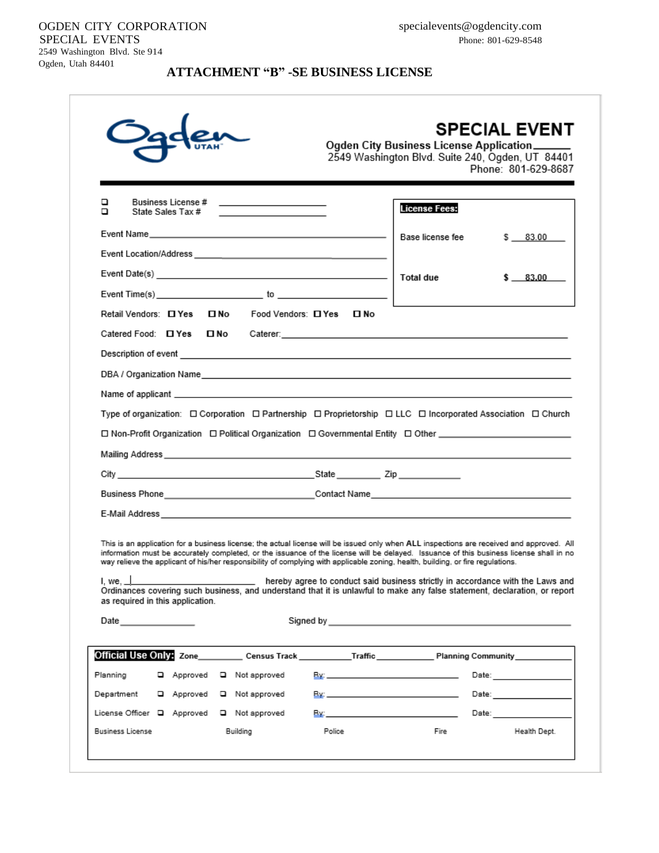#### OGDEN CITY CORPORATION SPECIAL EVENTS 2549 Washington Blvd. Ste 914

Ogden, Utah 84401

**ATTACHMENT "B" -SE BUSINESS LICENSE**

|                                                                                                                                                                                                                                                                                                                                                                                                                                                                                                                                                                                          | 2549 Washington Blvd. Suite 240, Ogden, UT 84401<br>Phone: 801-629-8687                                                                                                                                                                                                                                                     |
|------------------------------------------------------------------------------------------------------------------------------------------------------------------------------------------------------------------------------------------------------------------------------------------------------------------------------------------------------------------------------------------------------------------------------------------------------------------------------------------------------------------------------------------------------------------------------------------|-----------------------------------------------------------------------------------------------------------------------------------------------------------------------------------------------------------------------------------------------------------------------------------------------------------------------------|
| Business License #<br><u>and the state of the state of the state of the state</u><br>❏<br>State Sales Tax #<br>▫                                                                                                                                                                                                                                                                                                                                                                                                                                                                         | <b>License Fees:</b>                                                                                                                                                                                                                                                                                                        |
|                                                                                                                                                                                                                                                                                                                                                                                                                                                                                                                                                                                          | \$3.00                                                                                                                                                                                                                                                                                                                      |
|                                                                                                                                                                                                                                                                                                                                                                                                                                                                                                                                                                                          |                                                                                                                                                                                                                                                                                                                             |
|                                                                                                                                                                                                                                                                                                                                                                                                                                                                                                                                                                                          | \$ 83.00                                                                                                                                                                                                                                                                                                                    |
| Event Time(s) $\qquad \qquad$ to $\qquad \qquad$                                                                                                                                                                                                                                                                                                                                                                                                                                                                                                                                         |                                                                                                                                                                                                                                                                                                                             |
| Retail Vendors: 0 Yes 0 No Food Vendors: 0 Yes 0 No                                                                                                                                                                                                                                                                                                                                                                                                                                                                                                                                      |                                                                                                                                                                                                                                                                                                                             |
|                                                                                                                                                                                                                                                                                                                                                                                                                                                                                                                                                                                          |                                                                                                                                                                                                                                                                                                                             |
|                                                                                                                                                                                                                                                                                                                                                                                                                                                                                                                                                                                          |                                                                                                                                                                                                                                                                                                                             |
|                                                                                                                                                                                                                                                                                                                                                                                                                                                                                                                                                                                          |                                                                                                                                                                                                                                                                                                                             |
|                                                                                                                                                                                                                                                                                                                                                                                                                                                                                                                                                                                          |                                                                                                                                                                                                                                                                                                                             |
|                                                                                                                                                                                                                                                                                                                                                                                                                                                                                                                                                                                          |                                                                                                                                                                                                                                                                                                                             |
|                                                                                                                                                                                                                                                                                                                                                                                                                                                                                                                                                                                          |                                                                                                                                                                                                                                                                                                                             |
| □ Non-Profit Organization □ Political Organization □ Governmental Entity □ Other ______________________________                                                                                                                                                                                                                                                                                                                                                                                                                                                                          |                                                                                                                                                                                                                                                                                                                             |
|                                                                                                                                                                                                                                                                                                                                                                                                                                                                                                                                                                                          |                                                                                                                                                                                                                                                                                                                             |
|                                                                                                                                                                                                                                                                                                                                                                                                                                                                                                                                                                                          |                                                                                                                                                                                                                                                                                                                             |
|                                                                                                                                                                                                                                                                                                                                                                                                                                                                                                                                                                                          |                                                                                                                                                                                                                                                                                                                             |
| Business Phone_________________________________Contact Name______________________                                                                                                                                                                                                                                                                                                                                                                                                                                                                                                        |                                                                                                                                                                                                                                                                                                                             |
| This is an application for a business license; the actual license will be issued only when ALL inspections are received and approved. All<br>information must be accurately completed, or the issuance of the license will be delayed. Issuance of this business license shall in no<br>way relieve the applicant of his/her responsibility of complying with applicable zoning, health, building, or fire regulations.<br>Ordinances covering such business, and understand that it is unlawful to make any false statement, declaration, or report<br>as required in this application. |                                                                                                                                                                                                                                                                                                                             |
| Date $\qquad \qquad \qquad \qquad$                                                                                                                                                                                                                                                                                                                                                                                                                                                                                                                                                       |                                                                                                                                                                                                                                                                                                                             |
|                                                                                                                                                                                                                                                                                                                                                                                                                                                                                                                                                                                          |                                                                                                                                                                                                                                                                                                                             |
|                                                                                                                                                                                                                                                                                                                                                                                                                                                                                                                                                                                          |                                                                                                                                                                                                                                                                                                                             |
| Approved Q Not approved                                                                                                                                                                                                                                                                                                                                                                                                                                                                                                                                                                  | Date: __________________                                                                                                                                                                                                                                                                                                    |
| I, we, $\perp$ hereby agree to conduct said business strictly in accordance with the Laws and<br>Planning<br>□ Approved □ Not approved<br>Department<br>License Officer □ Approved □ Not approved                                                                                                                                                                                                                                                                                                                                                                                        | By: The contract of the contract of the contract of the<br>Date: <b>Date: Date:</b><br><u>By: Date: Date: Date: Date: Date: Date: Date: Date: Date: Date: Date: Date: Date: Date: Date: Date: Date: Date: Date: Date: Date: Date: Date: Date: Date: Date: Date: Date: Date: Date: Date: Date: Date: Date: Date: Date: D</u> |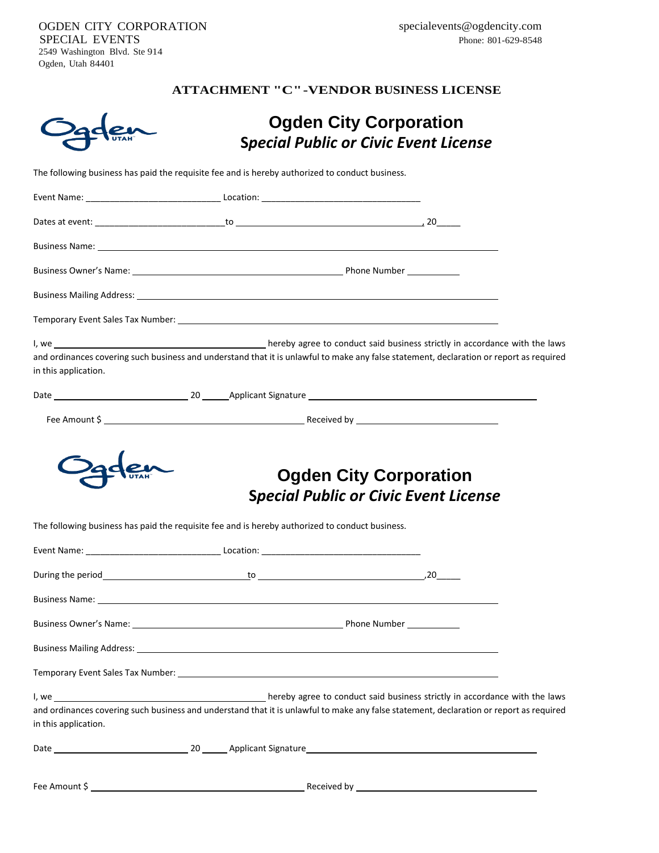OGDEN CITY CORPORATION SPECIAL EVENTS 2549 Washington Blvd. Ste 914 Ogden, Utah 84401

# **ATTACHMENT "C"-VENDOR BUSINESS LICENSE**

|                      |                                                                                                                                         | <b>Ogden City Corporation</b><br><b>Special Public or Civic Event License</b> |  |
|----------------------|-----------------------------------------------------------------------------------------------------------------------------------------|-------------------------------------------------------------------------------|--|
|                      | The following business has paid the requisite fee and is hereby authorized to conduct business.                                         |                                                                               |  |
|                      |                                                                                                                                         |                                                                               |  |
|                      |                                                                                                                                         |                                                                               |  |
|                      | Business Name: <u>Communication of the Communication of the Communication of the Communication of the Communication</u>                 |                                                                               |  |
|                      |                                                                                                                                         |                                                                               |  |
|                      |                                                                                                                                         |                                                                               |  |
|                      |                                                                                                                                         |                                                                               |  |
|                      | I, we conduct said business strictly in accordance with the laws                                                                        |                                                                               |  |
| in this application. | and ordinances covering such business and understand that it is unlawful to make any false statement, declaration or report as required |                                                                               |  |
|                      |                                                                                                                                         |                                                                               |  |
|                      |                                                                                                                                         | <b>Ogden City Corporation</b><br><b>Special Public or Civic Event License</b> |  |
|                      | The following business has paid the requisite fee and is hereby authorized to conduct business.                                         |                                                                               |  |
|                      |                                                                                                                                         |                                                                               |  |
|                      |                                                                                                                                         |                                                                               |  |
|                      |                                                                                                                                         |                                                                               |  |
|                      |                                                                                                                                         |                                                                               |  |
|                      |                                                                                                                                         |                                                                               |  |
|                      |                                                                                                                                         |                                                                               |  |
| in this application. | and ordinances covering such business and understand that it is unlawful to make any false statement, declaration or report as required |                                                                               |  |
|                      |                                                                                                                                         |                                                                               |  |
|                      |                                                                                                                                         |                                                                               |  |